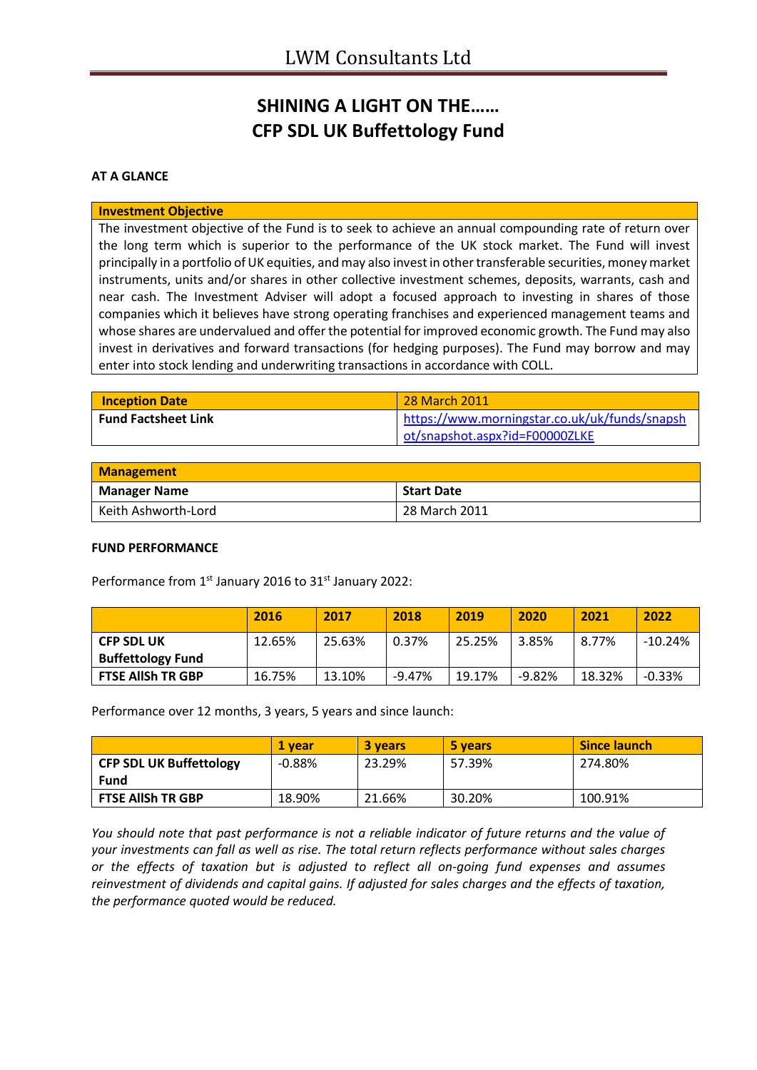# **SHINING A LIGHT ON THE…… CFP SDL UK Buffettology Fund**

### **AT A GLANCE**

#### **Investment Objective**

The investment objective of the Fund is to seek to achieve an annual compounding rate of return over the long term which is superior to the performance of the UK stock market. The Fund will invest principally in a portfolio of UK equities, and may also invest in other transferable securities, money market instruments, units and/or shares in other collective investment schemes, deposits, warrants, cash and near cash. The Investment Adviser will adopt a focused approach to investing in shares of those companies which it believes have strong operating franchises and experienced management teams and whose shares are undervalued and offer the potential for improved economic growth. The Fund may also invest in derivatives and forward transactions (for hedging purposes). The Fund may borrow and may enter into stock lending and underwriting transactions in accordance with COLL.

| <b>Inception Date</b>      | <b>28 March 2011</b>                          |
|----------------------------|-----------------------------------------------|
| <b>Fund Factsheet Link</b> | https://www.morningstar.co.uk/uk/funds/snapsh |
|                            | ot/snapshot.aspx?id=F00000ZLKE                |

| <b>Management</b>   |                   |  |
|---------------------|-------------------|--|
| <b>Manager Name</b> | <b>Start Date</b> |  |
| Keith Ashworth-Lord | 28 March 2011     |  |

### **FUND PERFORMANCE**

Performance from 1<sup>st</sup> January 2016 to 31<sup>st</sup> January 2022:

|                                               | 2016   | 2017   | 2018     | 2019   | 2020     | 2021   | 2022      |
|-----------------------------------------------|--------|--------|----------|--------|----------|--------|-----------|
| <b>CFP SDL UK</b><br><b>Buffettology Fund</b> | 12.65% | 25.63% | 0.37%    | 25.25% | 3.85%    | 8.77%  | $-10.24%$ |
| <b>FTSE AllSh TR GBP</b>                      | 16.75% | 13.10% | $-9.47%$ | 19.17% | $-9.82%$ | 18.32% | $-0.33%$  |

Performance over 12 months, 3 years, 5 years and since launch:

|                                | 1 vear   | 3 years | 5 years | <b>Since launch</b> |
|--------------------------------|----------|---------|---------|---------------------|
| <b>CFP SDL UK Buffettology</b> | $-0.88%$ | 23.29%  | 57.39%  | 274.80%             |
| Fund                           |          |         |         |                     |
| <b>FTSE AllSh TR GBP</b>       | 18.90%   | 21.66%  | 30.20%  | 100.91%             |

*You should note that past performance is not a reliable indicator of future returns and the value of your investments can fall as well as rise. The total return reflects performance without sales charges or the effects of taxation but is adjusted to reflect all on-going fund expenses and assumes reinvestment of dividends and capital gains. If adjusted for sales charges and the effects of taxation, the performance quoted would be reduced.*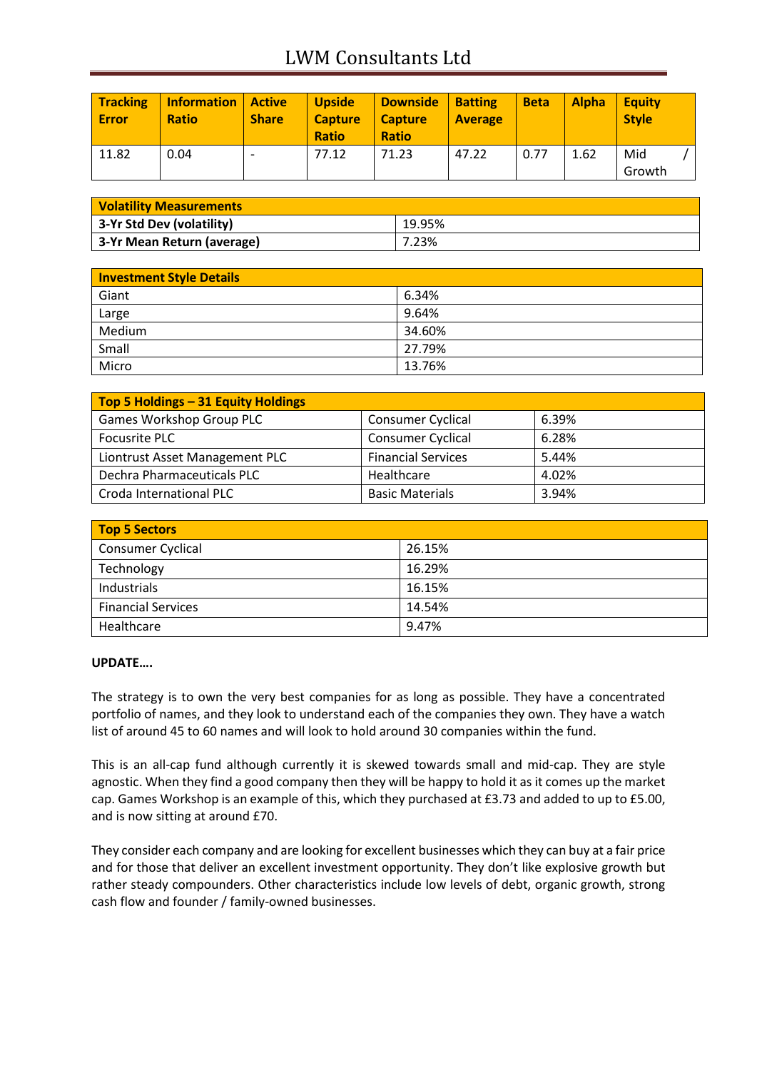# LWM Consultants Ltd

| <b>Tracking</b><br>Error | <b>Information</b><br><b>Ratio</b> | Active<br><b>Share</b> | <b>Upside</b><br><b>Capture</b><br><b>Ratio</b> | <b>Downside</b><br><b>Capture</b><br><b>Ratio</b> | <b>Batting</b><br><b>Average</b> | <b>Beta</b> | <b>Alpha</b> | <b>Equity</b><br><b>Style</b> |
|--------------------------|------------------------------------|------------------------|-------------------------------------------------|---------------------------------------------------|----------------------------------|-------------|--------------|-------------------------------|
| 11.82                    | 0.04                               |                        | 77.12                                           | 71.23                                             | 47.22                            | 0.77        | 1.62         | Mid<br>Growth                 |

| <b>Volatility Measurements</b> |        |  |
|--------------------------------|--------|--|
| 3-Yr Std Dev (volatility)      | 19.95% |  |
| 3-Yr Mean Return (average)     | 7.23%  |  |

| <b>Investment Style Details</b> |        |
|---------------------------------|--------|
| Giant                           | 6.34%  |
| Large                           | 9.64%  |
| Medium                          | 34.60% |
| Small                           | 27.79% |
| Micro                           | 13.76% |

| Top 5 Holdings - 31 Equity Holdings |                           |       |
|-------------------------------------|---------------------------|-------|
| Games Workshop Group PLC            | <b>Consumer Cyclical</b>  | 6.39% |
| Focusrite PLC                       | <b>Consumer Cyclical</b>  | 6.28% |
| Liontrust Asset Management PLC      | <b>Financial Services</b> | 5.44% |
| Dechra Pharmaceuticals PLC          | Healthcare                | 4.02% |
| Croda International PLC             | <b>Basic Materials</b>    | 3.94% |

| <b>Top 5 Sectors</b>      |        |
|---------------------------|--------|
| <b>Consumer Cyclical</b>  | 26.15% |
| Technology                | 16.29% |
| Industrials               | 16.15% |
| <b>Financial Services</b> | 14.54% |
| Healthcare                | 9.47%  |

### **UPDATE….**

The strategy is to own the very best companies for as long as possible. They have a concentrated portfolio of names, and they look to understand each of the companies they own. They have a watch list of around 45 to 60 names and will look to hold around 30 companies within the fund.

This is an all-cap fund although currently it is skewed towards small and mid-cap. They are style agnostic. When they find a good company then they will be happy to hold it as it comes up the market cap. Games Workshop is an example of this, which they purchased at £3.73 and added to up to £5.00, and is now sitting at around £70.

They consider each company and are looking for excellent businesses which they can buy at a fair price and for those that deliver an excellent investment opportunity. They don't like explosive growth but rather steady compounders. Other characteristics include low levels of debt, organic growth, strong cash flow and founder / family-owned businesses.